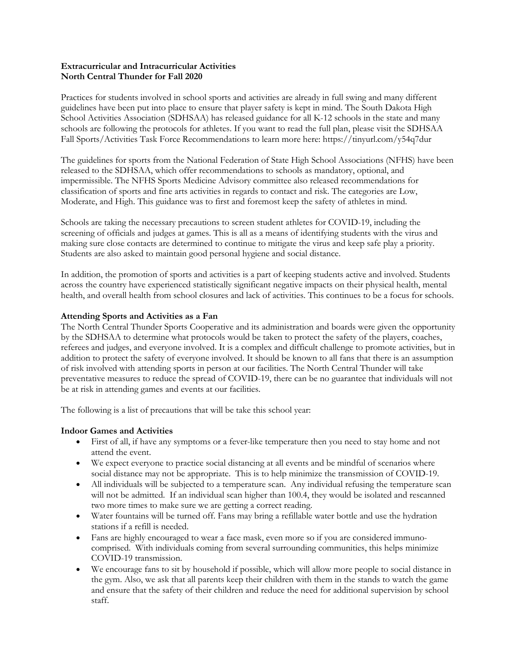# **Extracurricular and Intracurricular Activities North Central Thunder for Fall 2020**

Practices for students involved in school sports and activities are already in full swing and many different guidelines have been put into place to ensure that player safety is kept in mind. The South Dakota High School Activities Association (SDHSAA) has released guidance for all K-12 schools in the state and many schools are following the protocols for athletes. If you want to read the full plan, please visit the SDHSAA Fall Sports/Activities Task Force Recommendations to learn more here: https://tinyurl.com/y54q7dur

The guidelines for sports from the National Federation of State High School Associations (NFHS) have been released to the SDHSAA, which offer recommendations to schools as mandatory, optional, and impermissible. The NFHS Sports Medicine Advisory committee also released recommendations for classification of sports and fine arts activities in regards to contact and risk. The categories are Low, Moderate, and High. This guidance was to first and foremost keep the safety of athletes in mind.

Schools are taking the necessary precautions to screen student athletes for COVID-19, including the screening of officials and judges at games. This is all as a means of identifying students with the virus and making sure close contacts are determined to continue to mitigate the virus and keep safe play a priority. Students are also asked to maintain good personal hygiene and social distance.

In addition, the promotion of sports and activities is a part of keeping students active and involved. Students across the country have experienced statistically significant negative impacts on their physical health, mental health, and overall health from school closures and lack of activities. This continues to be a focus for schools.

## **Attending Sports and Activities as a Fan**

The North Central Thunder Sports Cooperative and its administration and boards were given the opportunity by the SDHSAA to determine what protocols would be taken to protect the safety of the players, coaches, referees and judges, and everyone involved. It is a complex and difficult challenge to promote activities, but in addition to protect the safety of everyone involved. It should be known to all fans that there is an assumption of risk involved with attending sports in person at our facilities. The North Central Thunder will take preventative measures to reduce the spread of COVID-19, there can be no guarantee that individuals will not be at risk in attending games and events at our facilities.

The following is a list of precautions that will be take this school year:

## **Indoor Games and Activities**

- First of all, if have any symptoms or a fever-like temperature then you need to stay home and not attend the event.
- We expect everyone to practice social distancing at all events and be mindful of scenarios where social distance may not be appropriate. This is to help minimize the transmission of COVID-19.
- All individuals will be subjected to a temperature scan. Any individual refusing the temperature scan will not be admitted. If an individual scan higher than 100.4, they would be isolated and rescanned two more times to make sure we are getting a correct reading.
- Water fountains will be turned off. Fans may bring a refillable water bottle and use the hydration stations if a refill is needed.
- Fans are highly encouraged to wear a face mask, even more so if you are considered immunocomprised. With individuals coming from several surrounding communities, this helps minimize COVID-19 transmission.
- We encourage fans to sit by household if possible, which will allow more people to social distance in the gym. Also, we ask that all parents keep their children with them in the stands to watch the game and ensure that the safety of their children and reduce the need for additional supervision by school staff.